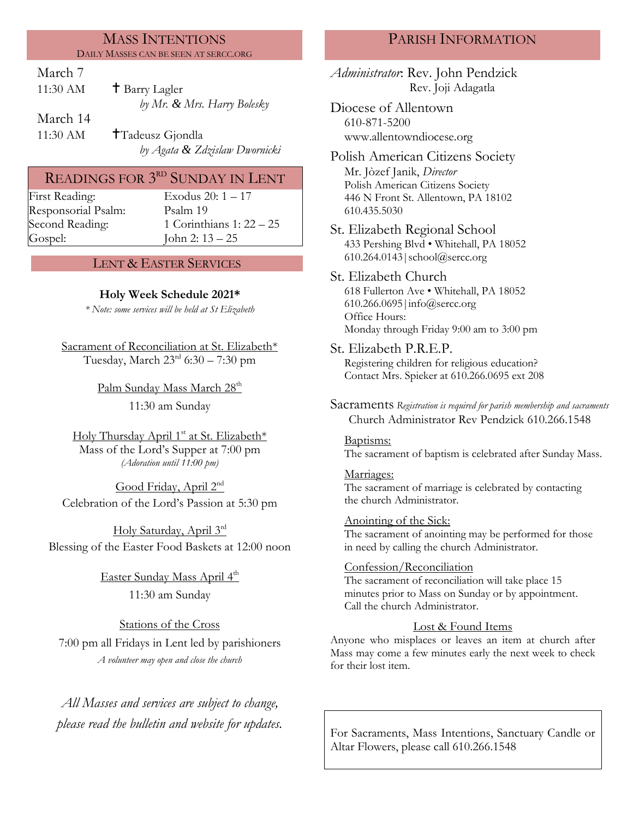### MASS INTENTIONS DAILY MASSES CAN BE SEEN AT SERCC.ORG

March 7

| 11:30 AM | $\dagger$ Barry Lagler      |
|----------|-----------------------------|
|          | by Mr. & Mrs. Harry Bolesky |
| March 14 |                             |

11:30 AM **T**Tadeusz Gjondla *by Agata & Zdzislaw Dwornicki*

# READINGS FOR  $3^{\text{\tiny RD}}$  SUNDAY IN LENT

First Reading: Exodus 20:  $1 - 17$ Responsorial [Psalm](http://www.usccb.org/bible/readings/bible/psalms/25:4): Psalm 19 Gospel: John 2: 13 – 25

Second Reading: 1 Corinthians 1: 22 – 25

## LENT & EASTER SERVICES

## **Holy Week Schedule 2021\***

*\* Note: some services will be held at St Elizabeth*

Sacrament of Reconciliation at St. Elizabeth\* Tuesday, March  $23<sup>rd</sup>$  6:30 – 7:30 pm

> Palm Sunday Mass March 28<sup>th</sup> 11:30 am Sunday

Holy Thursday April 1<sup>st</sup> at St. Elizabeth\* Mass of the Lord's Supper at 7:00 pm *(Adoration until 11:00 pm)*

Good Friday, April 2<sup>nd</sup> Celebration of the Lord's Passion at 5:30 pm

Holy Saturday, April 3rd Blessing of the Easter Food Baskets at 12:00 noon

> <u>Easter Sunday Mass April 4<sup>th</sup></u> 11:30 am Sunday

Stations of the Cross 7:00 pm all Fridays in Lent led by parishioners *A volunteer may open and close the church*

*All Masses and services are subject to change, please read the bulletin and website for updates.*

# PARISH INFORMATION

*Administrator*: Rev. John Pendzick Rev. Joji Adagatla

Diocese of Allentown 610-871-5200 www.allentowndiocese.org

Polish American Citizens Society Mr. Jòzef Janik, *Director* Polish American Citizens Society 446 N Front St. Allentown, PA 18102 610.435.5030

St. Elizabeth Regional School 433 Pershing Blvd • Whitehall, PA 18052 610.264.0143|school@sercc.org

St. Elizabeth Church 618 Fullerton Ave • Whitehall, PA 18052 610.266.0695|info@sercc.org Office Hours: Monday through Friday 9:00 am to 3:00 pm

- St. Elizabeth P.R.E.P. Registering children for religious education? Contact Mrs. Spieker at 610.266.0695 ext 208
- Sacraments *Registration is required for parish membership and sacraments* Church Administrator Rev Pendzick 610.266.1548

Baptisms: The sacrament of baptism is celebrated after Sunday Mass.

Marriages: The sacrament of marriage is celebrated by contacting the church Administrator.

Anointing of the Sick: The sacrament of anointing may be performed for those in need by calling the church Administrator.

# Confession/Reconciliation The sacrament of reconciliation will take place 15

minutes prior to Mass on Sunday or by appointment. Call the church Administrator.

## Lost & Found Items

Anyone who misplaces or leaves an item at church after Mass may come a few minutes early the next week to check for their lost item.

For Sacraments, Mass Intentions, Sanctuary Candle or Altar Flowers, please call 610.266.1548